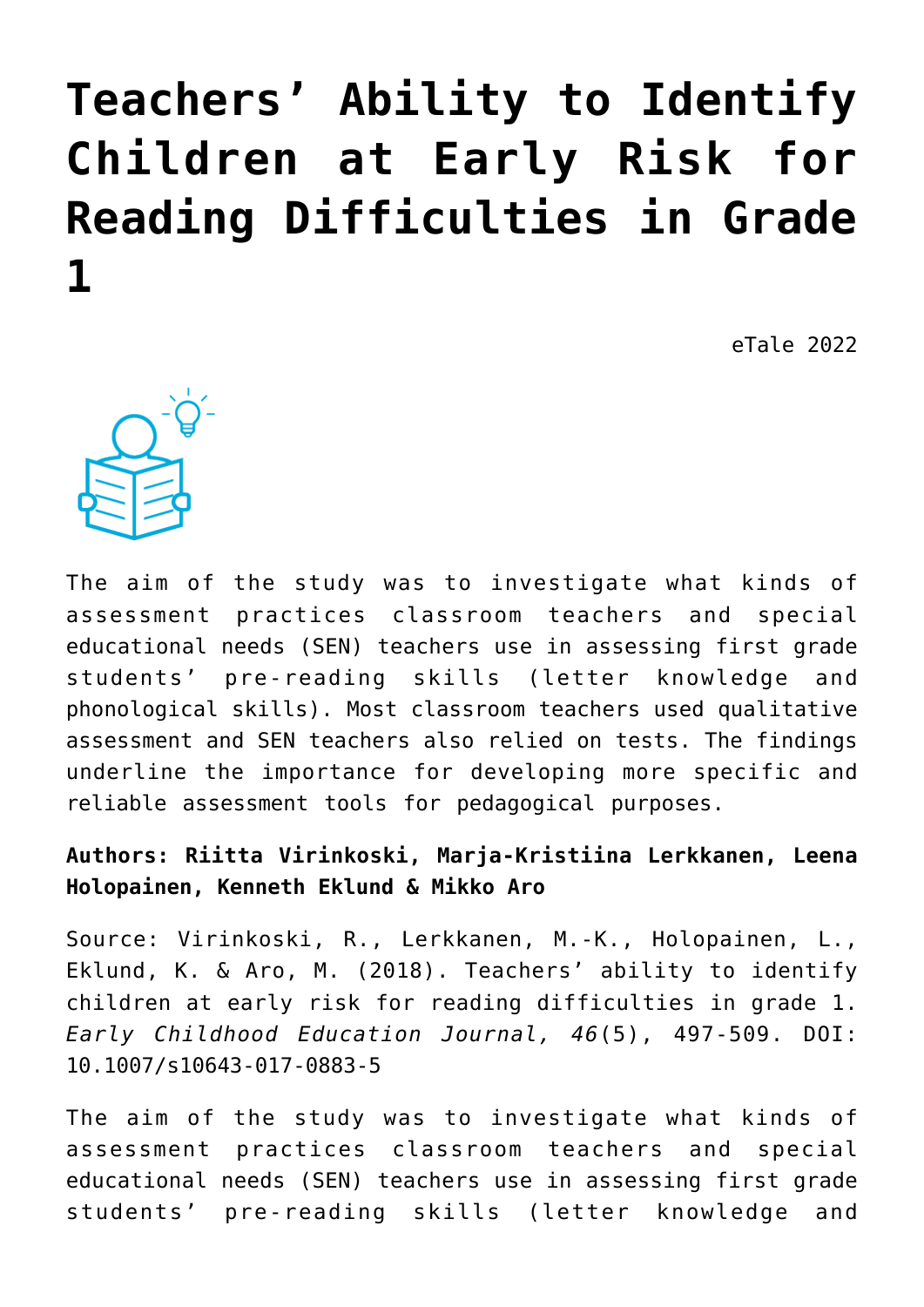# **[Teachers' Ability to Identify](https://dev.taleafrica.com/2021/06/03/teachers-ability-to-identify-children-at-early-risk-for-reading-difficulties-in-grade-1/) [Children at Early Risk for](https://dev.taleafrica.com/2021/06/03/teachers-ability-to-identify-children-at-early-risk-for-reading-difficulties-in-grade-1/) [Reading Difficulties in Grade](https://dev.taleafrica.com/2021/06/03/teachers-ability-to-identify-children-at-early-risk-for-reading-difficulties-in-grade-1/) [1](https://dev.taleafrica.com/2021/06/03/teachers-ability-to-identify-children-at-early-risk-for-reading-difficulties-in-grade-1/)**

eTale 2022



The aim of the study was to investigate what kinds of assessment practices classroom teachers and special educational needs (SEN) teachers use in assessing first grade students' pre-reading skills (letter knowledge and phonological skills). Most classroom teachers used qualitative assessment and SEN teachers also relied on tests. The findings underline the importance for developing more specific and reliable assessment tools for pedagogical purposes.

# **Authors: Riitta Virinkoski, Marja-Kristiina Lerkkanen, Leena Holopainen, Kenneth Eklund & Mikko Aro**

Source: Virinkoski, R., Lerkkanen, M.-K., Holopainen, L., Eklund, K. & Aro, M. (2018). Teachers' ability to identify children at early risk for reading difficulties in grade 1. *Early Childhood Education Journal, 46*(5), 497-509. DOI: 10.1007/s10643-017-0883-5

The aim of the study was to investigate what kinds of assessment practices classroom teachers and special educational needs (SEN) teachers use in assessing first grade students' pre-reading skills (letter knowledge and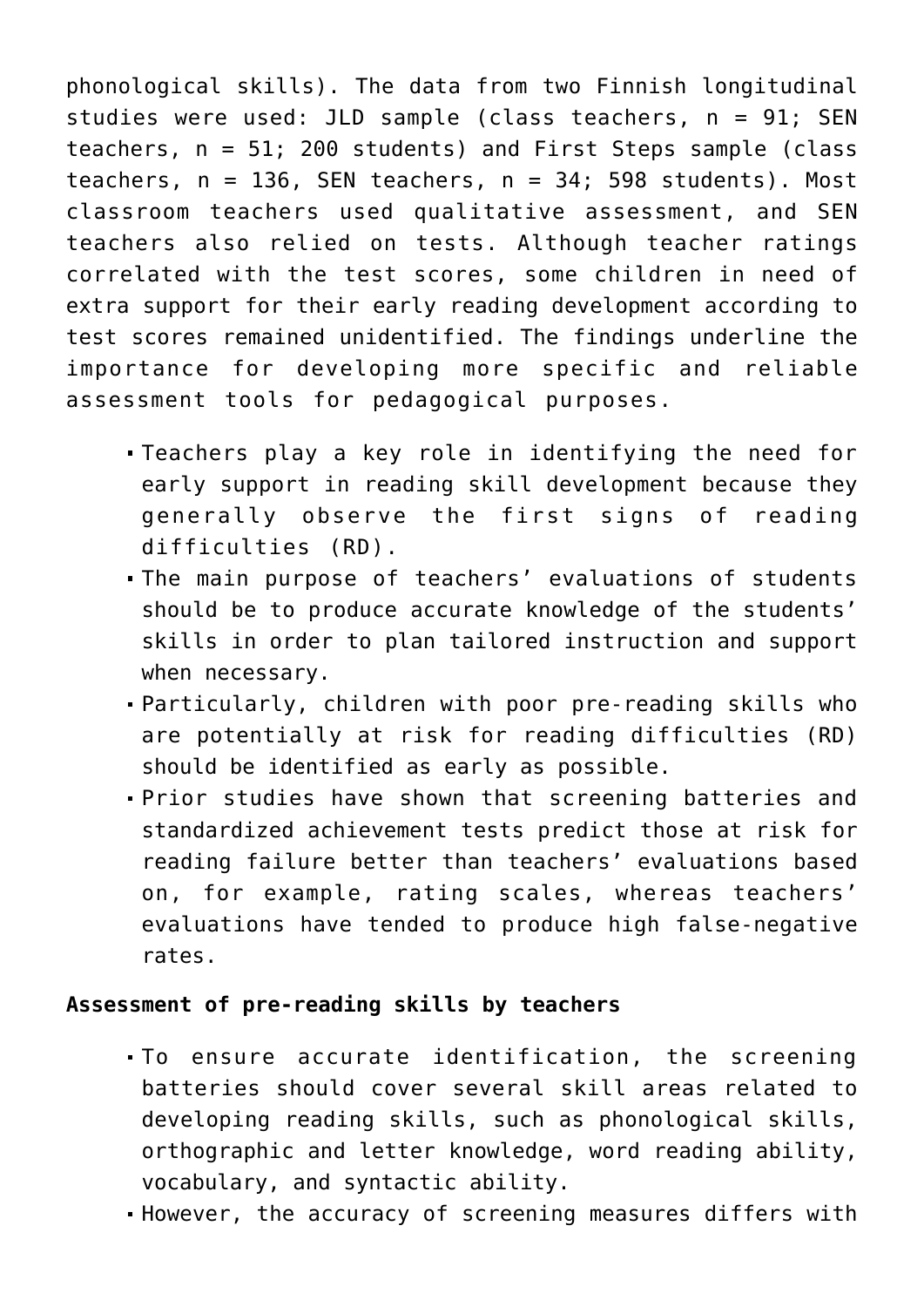phonological skills). The data from two Finnish longitudinal studies were used: JLD sample (class teachers, n = 91; SEN teachers, n = 51; 200 students) and First Steps sample (class teachers,  $n = 136$ , SEN teachers,  $n = 34$ ; 598 students). Most classroom teachers used qualitative assessment, and SEN teachers also relied on tests. Although teacher ratings correlated with the test scores, some children in need of extra support for their early reading development according to test scores remained unidentified. The findings underline the importance for developing more specific and reliable assessment tools for pedagogical purposes.

- Teachers play a key role in identifying the need for early support in reading skill development because they generally observe the first signs of reading difficulties (RD).
- The main purpose of teachers' evaluations of students should be to produce accurate knowledge of the students' skills in order to plan tailored instruction and support when necessary.
- Particularly, children with poor pre-reading skills who are potentially at risk for reading difficulties (RD) should be identified as early as possible.
- Prior studies have shown that screening batteries and standardized achievement tests predict those at risk for reading failure better than teachers' evaluations based on, for example, rating scales, whereas teachers' evaluations have tended to produce high false-negative rates.

#### **Assessment of pre-reading skills by teachers**

- To ensure accurate identification, the screening batteries should cover several skill areas related to developing reading skills, such as phonological skills, orthographic and letter knowledge, word reading ability, vocabulary, and syntactic ability.
- However, the accuracy of screening measures differs with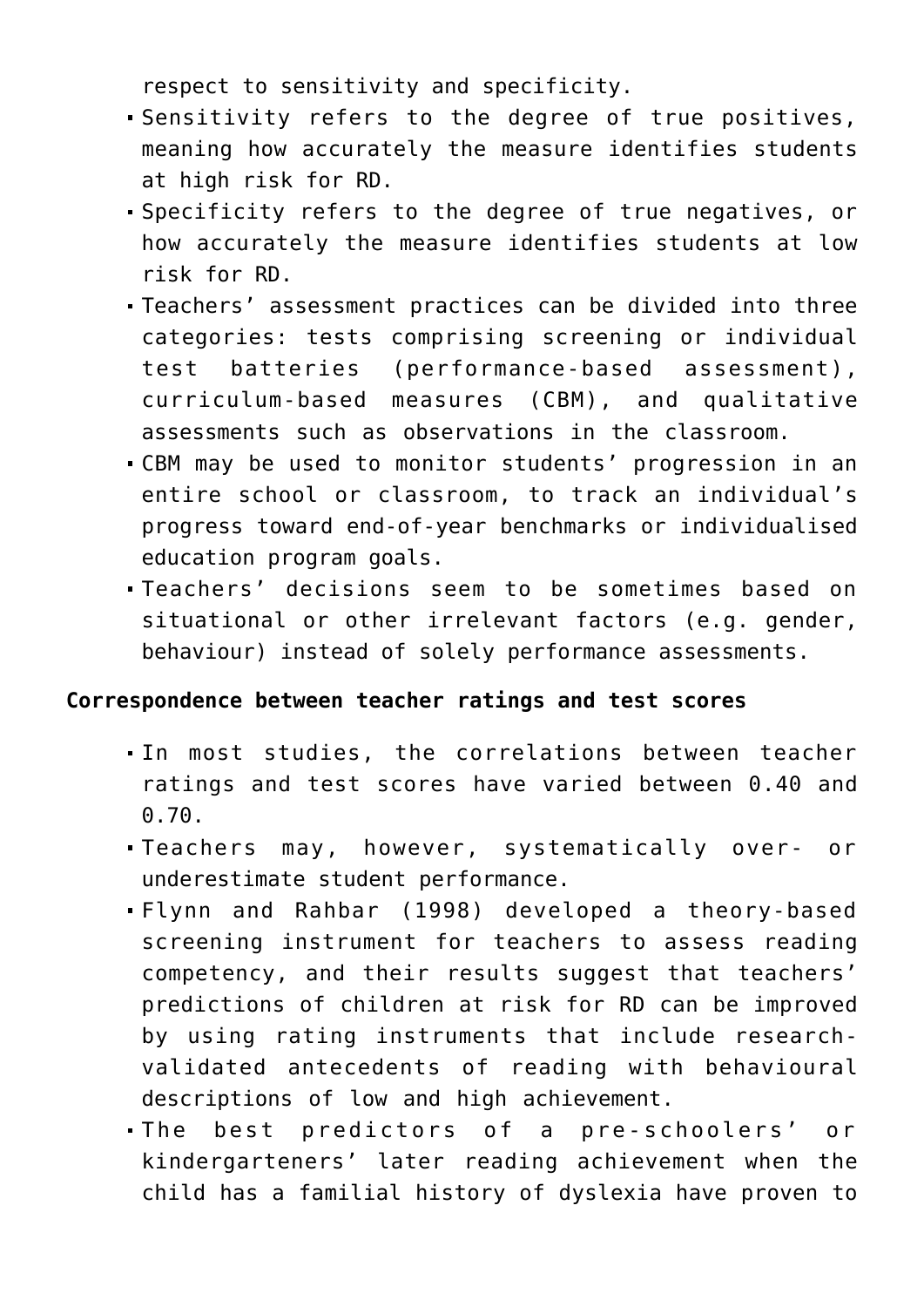respect to sensitivity and specificity.

- Sensitivity refers to the degree of true positives, meaning how accurately the measure identifies students at high risk for RD.
- Specificity refers to the degree of true negatives, or how accurately the measure identifies students at low risk for RD.
- Teachers' assessment practices can be divided into three categories: tests comprising screening or individual test batteries (performance-based assessment), curriculum-based measures (CBM), and qualitative assessments such as observations in the classroom.
- CBM may be used to monitor students' progression in an entire school or classroom, to track an individual's progress toward end-of-year benchmarks or individualised education program goals.
- Teachers' decisions seem to be sometimes based on situational or other irrelevant factors (e.g. gender, behaviour) instead of solely performance assessments.

# **Correspondence between teacher ratings and test scores**

- In most studies, the correlations between teacher ratings and test scores have varied between 0.40 and 0.70.
- Teachers may, however, systematically over- or underestimate student performance.
- Flynn and Rahbar (1998) developed a theory-based screening instrument for teachers to assess reading competency, and their results suggest that teachers' predictions of children at risk for RD can be improved by using rating instruments that include researchvalidated antecedents of reading with behavioural descriptions of low and high achievement.
- The best predictors of a pre-schoolers' or kindergarteners' later reading achievement when the child has a familial history of dyslexia have proven to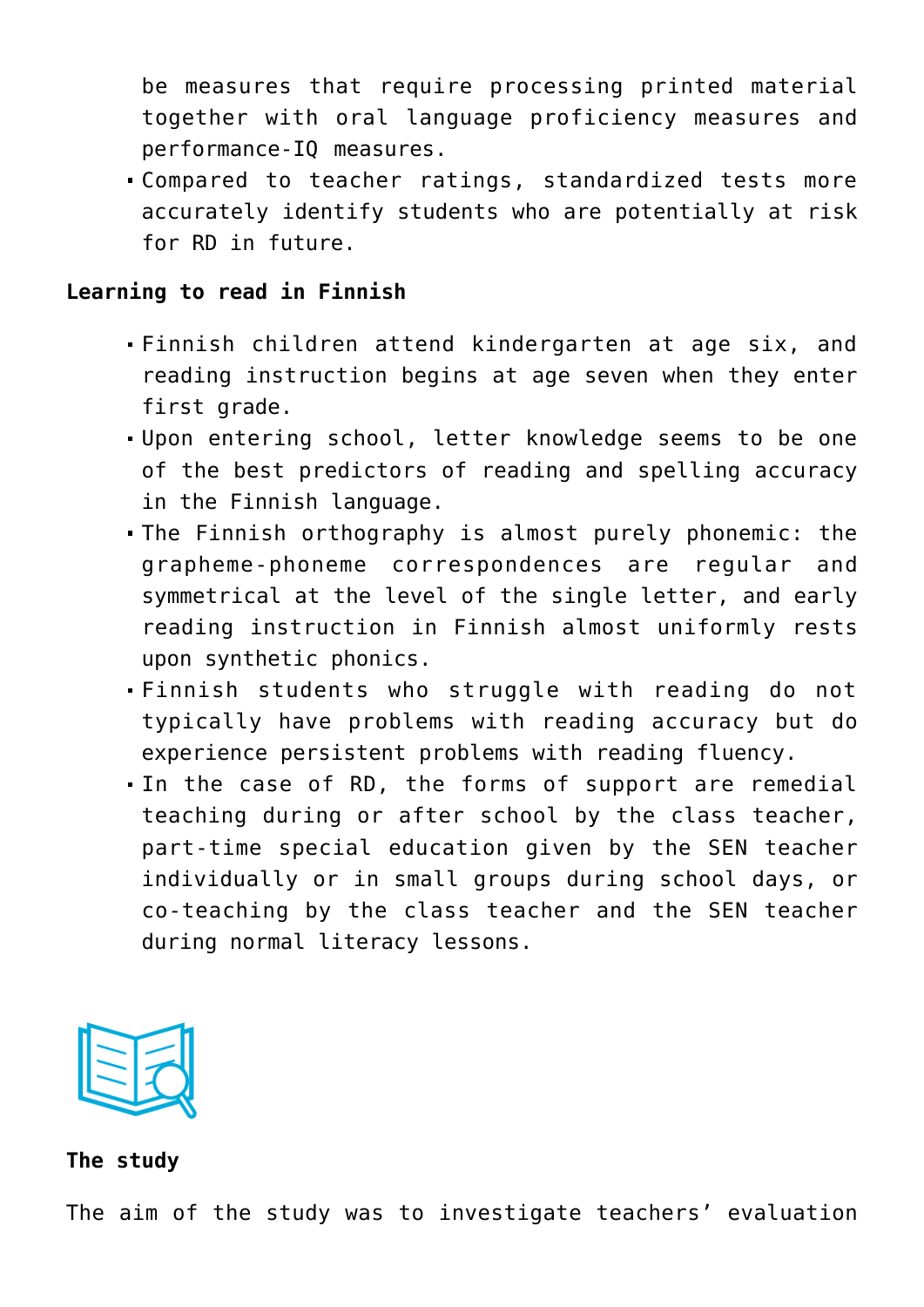be measures that require processing printed material together with oral language proficiency measures and performance-IQ measures.

Compared to teacher ratings, standardized tests more accurately identify students who are potentially at risk for RD in future.

#### **Learning to read in Finnish**

- Finnish children attend kindergarten at age six, and reading instruction begins at age seven when they enter first grade.
- Upon entering school, letter knowledge seems to be one of the best predictors of reading and spelling accuracy in the Finnish language.
- The Finnish orthography is almost purely phonemic: the grapheme-phoneme correspondences are regular and symmetrical at the level of the single letter, and early reading instruction in Finnish almost uniformly rests upon synthetic phonics.
- Finnish students who struggle with reading do not typically have problems with reading accuracy but do experience persistent problems with reading fluency.
- In the case of RD, the forms of support are remedial teaching during or after school by the class teacher, part-time special education given by the SEN teacher individually or in small groups during school days, or co-teaching by the class teacher and the SEN teacher during normal literacy lessons.



### **The study**

The aim of the study was to investigate teachers' evaluation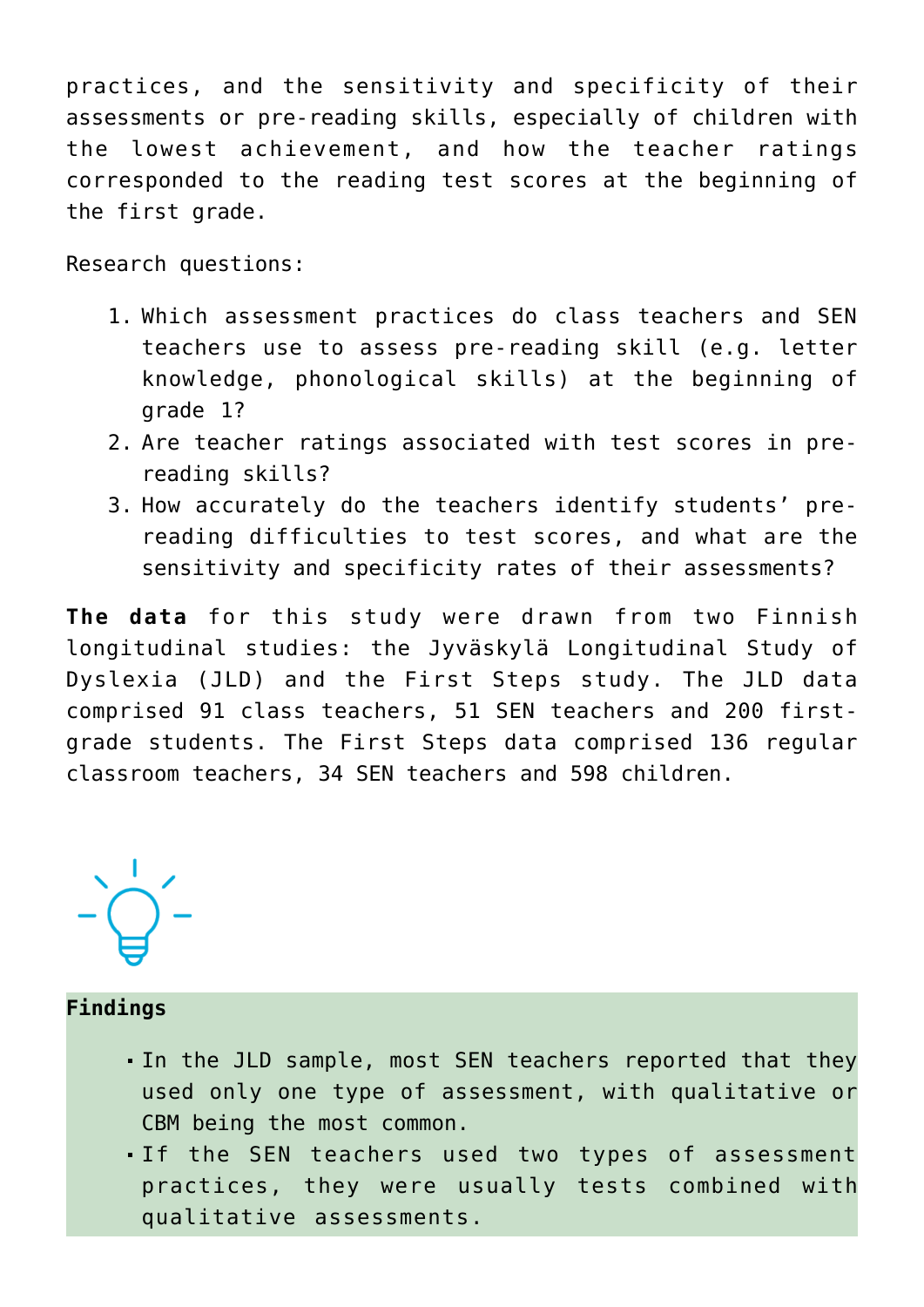practices, and the sensitivity and specificity of their assessments or pre-reading skills, especially of children with the lowest achievement, and how the teacher ratings corresponded to the reading test scores at the beginning of the first grade.

Research questions:

- 1. Which assessment practices do class teachers and SEN teachers use to assess pre-reading skill (e.g. letter knowledge, phonological skills) at the beginning of grade 1?
- 2. Are teacher ratings associated with test scores in prereading skills?
- 3. How accurately do the teachers identify students' prereading difficulties to test scores, and what are the sensitivity and specificity rates of their assessments?

**The data** for this study were drawn from two Finnish longitudinal studies: the Jyväskylä Longitudinal Study of Dyslexia (JLD) and the First Steps study. The JLD data comprised 91 class teachers, 51 SEN teachers and 200 firstgrade students. The First Steps data comprised 136 regular classroom teachers, 34 SEN teachers and 598 children.



#### **Findings**

- In the JLD sample, most SEN teachers reported that they used only one type of assessment, with qualitative or CBM being the most common.
- If the SEN teachers used two types of assessment practices, they were usually tests combined with qualitative assessments.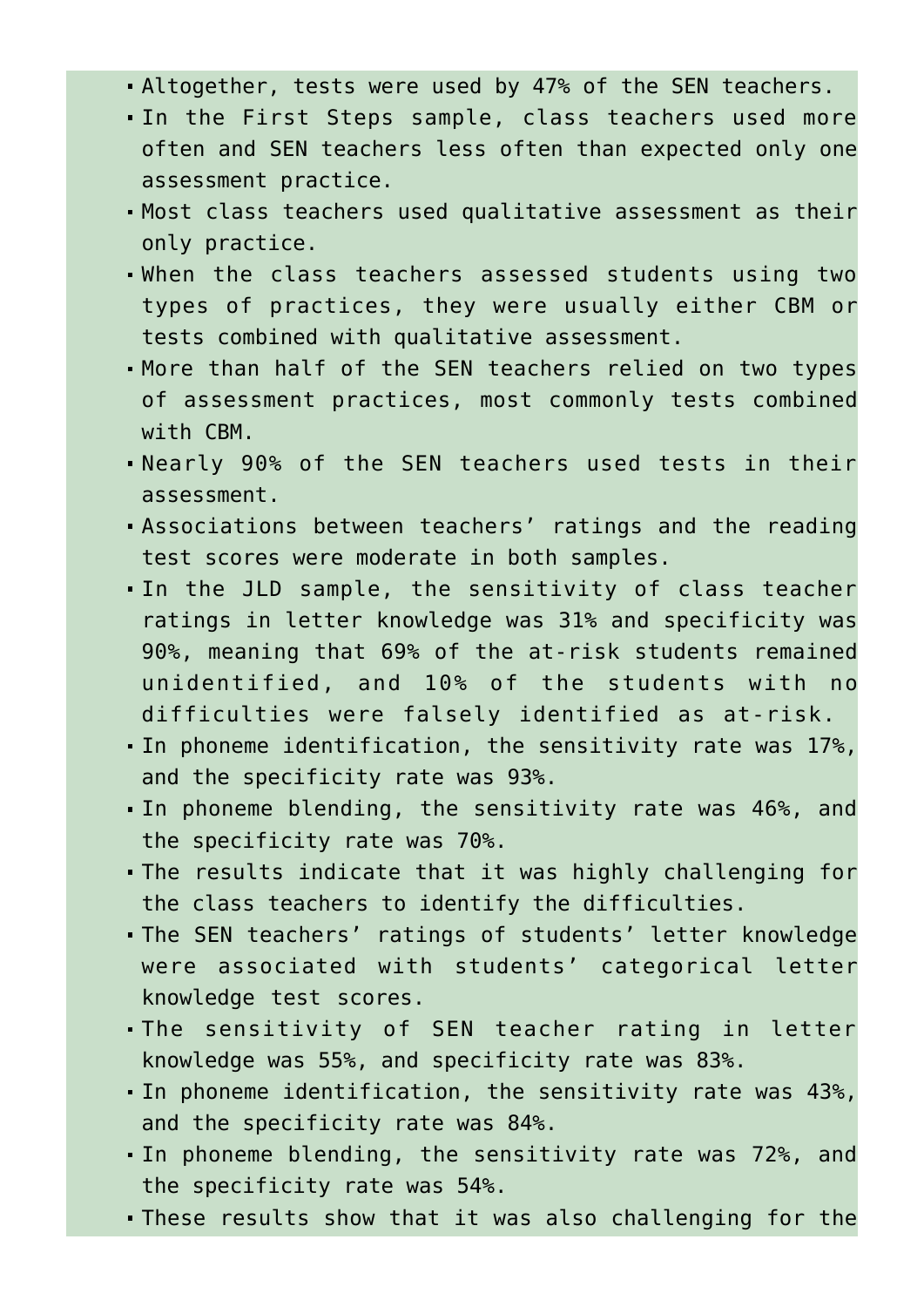- Altogether, tests were used by 47% of the SEN teachers.
- In the First Steps sample, class teachers used more often and SEN teachers less often than expected only one assessment practice.
- Most class teachers used qualitative assessment as their only practice.
- When the class teachers assessed students using two types of practices, they were usually either CBM or tests combined with qualitative assessment.
- More than half of the SEN teachers relied on two types of assessment practices, most commonly tests combined with CBM.
- Nearly 90% of the SEN teachers used tests in their assessment.
- Associations between teachers' ratings and the reading test scores were moderate in both samples.
- In the JLD sample, the sensitivity of class teacher ratings in letter knowledge was 31% and specificity was 90%, meaning that 69% of the at-risk students remained unidentified, and 10% of the students with no difficulties were falsely identified as at-risk.
- In phoneme identification, the sensitivity rate was 17%, and the specificity rate was 93%.
- In phoneme blending, the sensitivity rate was 46%, and the specificity rate was 70%.
- The results indicate that it was highly challenging for the class teachers to identify the difficulties.
- The SEN teachers' ratings of students' letter knowledge were associated with students' categorical letter knowledge test scores.
- The sensitivity of SEN teacher rating in letter knowledge was 55%, and specificity rate was 83%.
- In phoneme identification, the sensitivity rate was 43%, and the specificity rate was 84%.
- In phoneme blending, the sensitivity rate was 72%, and the specificity rate was 54%.
- These results show that it was also challenging for the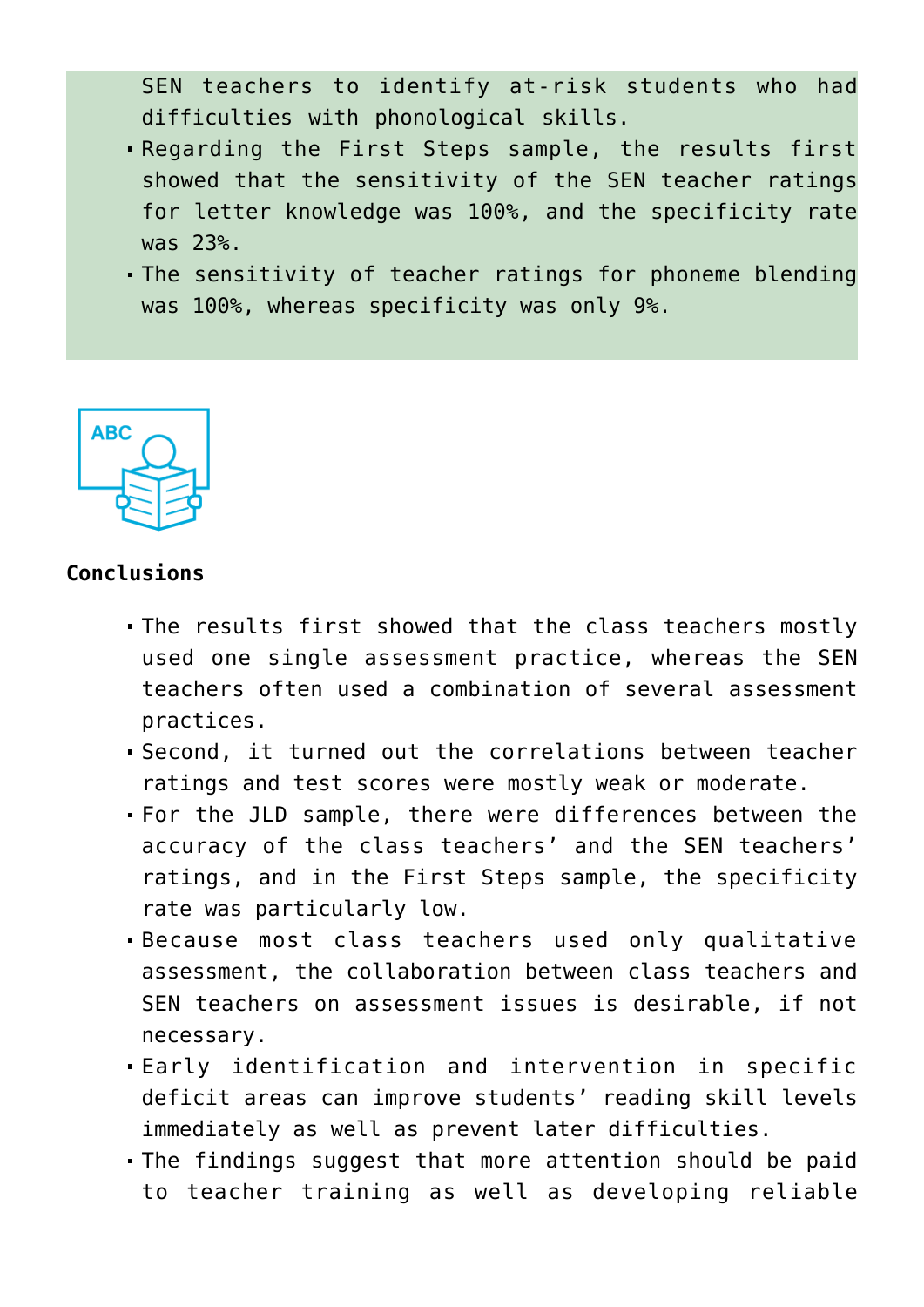SEN teachers to identify at-risk students who had difficulties with phonological skills.

- Regarding the First Steps sample, the results first showed that the sensitivity of the SEN teacher ratings for letter knowledge was 100%, and the specificity rate was 23%.
- The sensitivity of teacher ratings for phoneme blending was 100%, whereas specificity was only 9%.



## **Conclusions**

- The results first showed that the class teachers mostly used one single assessment practice, whereas the SEN teachers often used a combination of several assessment practices.
- Second, it turned out the correlations between teacher ratings and test scores were mostly weak or moderate.
- For the JLD sample, there were differences between the accuracy of the class teachers' and the SEN teachers' ratings, and in the First Steps sample, the specificity rate was particularly low.
- Because most class teachers used only qualitative assessment, the collaboration between class teachers and SEN teachers on assessment issues is desirable, if not necessary.
- Early identification and intervention in specific deficit areas can improve students' reading skill levels immediately as well as prevent later difficulties.
- The findings suggest that more attention should be paid to teacher training as well as developing reliable